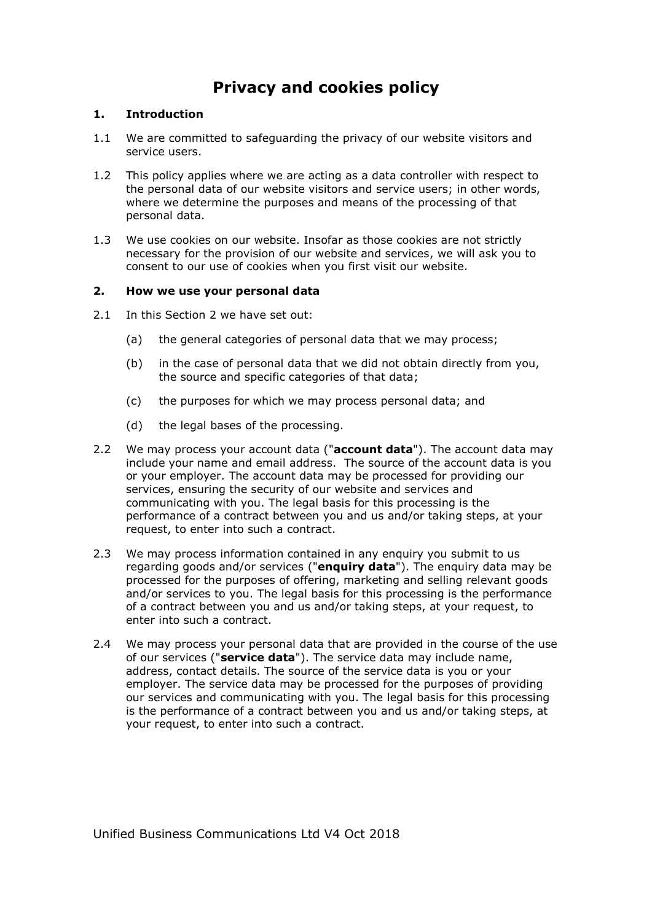# **Privacy and cookies policy**

### **1. Introduction**

- 1.1 We are committed to safeguarding the privacy of our website visitors and service users.
- 1.2 This policy applies where we are acting as a data controller with respect to the personal data of our website visitors and service users; in other words, where we determine the purposes and means of the processing of that personal data.
- 1.3 We use cookies on our website. Insofar as those cookies are not strictly necessary for the provision of our website and services, we will ask you to consent to our use of cookies when you first visit our website.

### **2. How we use your personal data**

- 2.1 In this Section 2 we have set out:
	- (a) the general categories of personal data that we may process;
	- (b) in the case of personal data that we did not obtain directly from you, the source and specific categories of that data;
	- (c) the purposes for which we may process personal data; and
	- (d) the legal bases of the processing.
- 2.2 We may process your account data ("**account data**"). The account data may include your name and email address. The source of the account data is you or your employer. The account data may be processed for providing our services, ensuring the security of our website and services and communicating with you. The legal basis for this processing is the performance of a contract between you and us and/or taking steps, at your request, to enter into such a contract.
- 2.3 We may process information contained in any enquiry you submit to us regarding goods and/or services ("**enquiry data**"). The enquiry data may be processed for the purposes of offering, marketing and selling relevant goods and/or services to you. The legal basis for this processing is the performance of a contract between you and us and/or taking steps, at your request, to enter into such a contract.
- 2.4 We may process your personal data that are provided in the course of the use of our services ("**service data**"). The service data may include name, address, contact details. The source of the service data is you or your employer. The service data may be processed for the purposes of providing our services and communicating with you. The legal basis for this processing is the performance of a contract between you and us and/or taking steps, at your request, to enter into such a contract.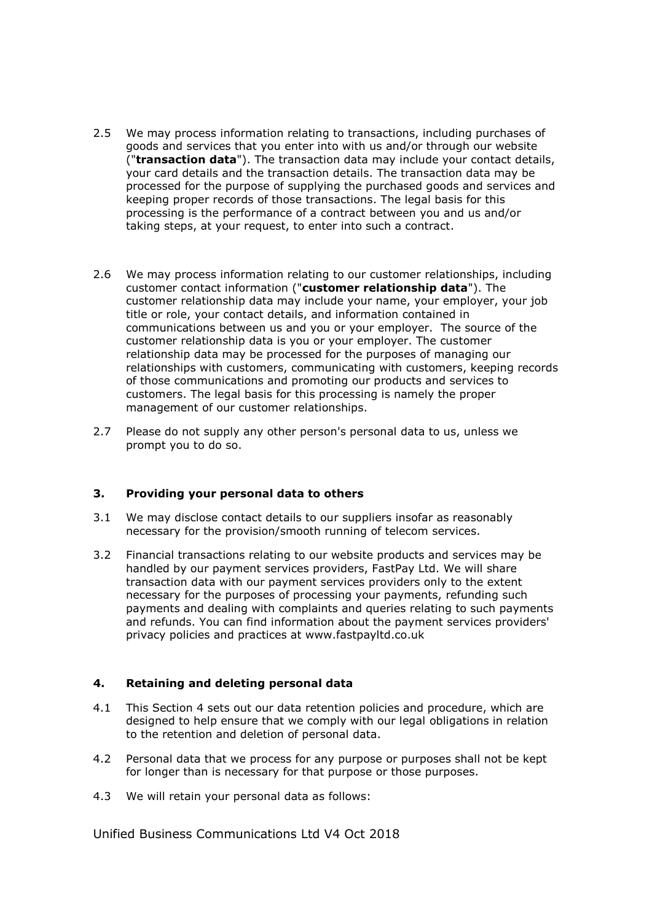- 2.5 We may process information relating to transactions, including purchases of goods and services that you enter into with us and/or through our website ("**transaction data**"). The transaction data may include your contact details, your card details and the transaction details. The transaction data may be processed for the purpose of supplying the purchased goods and services and keeping proper records of those transactions. The legal basis for this processing is the performance of a contract between you and us and/or taking steps, at your request, to enter into such a contract.
- 2.6 We may process information relating to our customer relationships, including customer contact information ("**customer relationship data**"). The customer relationship data may include your name, your employer, your job title or role, your contact details, and information contained in communications between us and you or your employer. The source of the customer relationship data is you or your employer. The customer relationship data may be processed for the purposes of managing our relationships with customers, communicating with customers, keeping records of those communications and promoting our products and services to customers. The legal basis for this processing is namely the proper management of our customer relationships.
- 2.7 Please do not supply any other person's personal data to us, unless we prompt you to do so.

# **3. Providing your personal data to others**

- 3.1 We may disclose contact details to our suppliers insofar as reasonably necessary for the provision/smooth running of telecom services.
- 3.2 Financial transactions relating to our website products and services may be handled by our payment services providers, FastPay Ltd. We will share transaction data with our payment services providers only to the extent necessary for the purposes of processing your payments, refunding such payments and dealing with complaints and queries relating to such payments and refunds. You can find information about the payment services providers' privacy policies and practices at www.fastpayltd.co.uk

#### **4. Retaining and deleting personal data**

- 4.1 This Section 4 sets out our data retention policies and procedure, which are designed to help ensure that we comply with our legal obligations in relation to the retention and deletion of personal data.
- 4.2 Personal data that we process for any purpose or purposes shall not be kept for longer than is necessary for that purpose or those purposes.
- 4.3 We will retain your personal data as follows: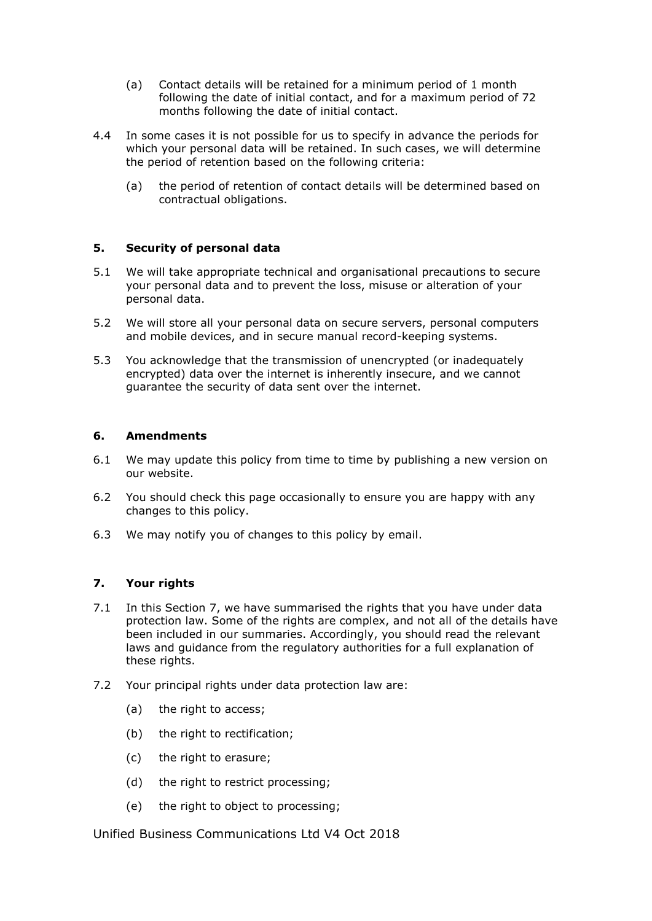- (a) Contact details will be retained for a minimum period of 1 month following the date of initial contact, and for a maximum period of 72 months following the date of initial contact.
- 4.4 In some cases it is not possible for us to specify in advance the periods for which your personal data will be retained. In such cases, we will determine the period of retention based on the following criteria:
	- (a) the period of retention of contact details will be determined based on contractual obligations.

### **5. Security of personal data**

- 5.1 We will take appropriate technical and organisational precautions to secure your personal data and to prevent the loss, misuse or alteration of your personal data.
- 5.2 We will store all your personal data on secure servers, personal computers and mobile devices, and in secure manual record-keeping systems.
- 5.3 You acknowledge that the transmission of unencrypted (or inadequately encrypted) data over the internet is inherently insecure, and we cannot guarantee the security of data sent over the internet.

### **6. Amendments**

- 6.1 We may update this policy from time to time by publishing a new version on our website.
- 6.2 You should check this page occasionally to ensure you are happy with any changes to this policy.
- 6.3 We may notify you of changes to this policy by email.

# **7. Your rights**

- 7.1 In this Section 7, we have summarised the rights that you have under data protection law. Some of the rights are complex, and not all of the details have been included in our summaries. Accordingly, you should read the relevant laws and guidance from the regulatory authorities for a full explanation of these rights.
- 7.2 Your principal rights under data protection law are:
	- (a) the right to access;
	- (b) the right to rectification:
	- (c) the right to erasure;
	- (d) the right to restrict processing;
	- (e) the right to object to processing;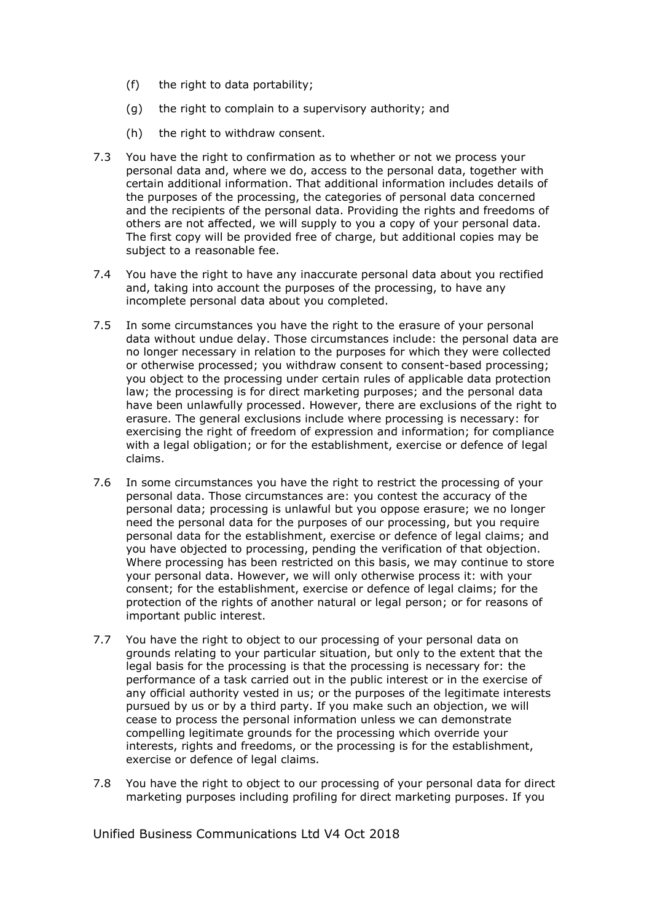- (f) the right to data portability;
- (g) the right to complain to a supervisory authority; and
- (h) the right to withdraw consent.
- 7.3 You have the right to confirmation as to whether or not we process your personal data and, where we do, access to the personal data, together with certain additional information. That additional information includes details of the purposes of the processing, the categories of personal data concerned and the recipients of the personal data. Providing the rights and freedoms of others are not affected, we will supply to you a copy of your personal data. The first copy will be provided free of charge, but additional copies may be subject to a reasonable fee.
- 7.4 You have the right to have any inaccurate personal data about you rectified and, taking into account the purposes of the processing, to have any incomplete personal data about you completed.
- 7.5 In some circumstances you have the right to the erasure of your personal data without undue delay. Those circumstances include: the personal data are no longer necessary in relation to the purposes for which they were collected or otherwise processed; you withdraw consent to consent-based processing; you object to the processing under certain rules of applicable data protection law; the processing is for direct marketing purposes; and the personal data have been unlawfully processed. However, there are exclusions of the right to erasure. The general exclusions include where processing is necessary: for exercising the right of freedom of expression and information; for compliance with a legal obligation; or for the establishment, exercise or defence of legal claims.
- 7.6 In some circumstances you have the right to restrict the processing of your personal data. Those circumstances are: you contest the accuracy of the personal data; processing is unlawful but you oppose erasure; we no longer need the personal data for the purposes of our processing, but you require personal data for the establishment, exercise or defence of legal claims; and you have objected to processing, pending the verification of that objection. Where processing has been restricted on this basis, we may continue to store your personal data. However, we will only otherwise process it: with your consent; for the establishment, exercise or defence of legal claims; for the protection of the rights of another natural or legal person; or for reasons of important public interest.
- 7.7 You have the right to object to our processing of your personal data on grounds relating to your particular situation, but only to the extent that the legal basis for the processing is that the processing is necessary for: the performance of a task carried out in the public interest or in the exercise of any official authority vested in us; or the purposes of the legitimate interests pursued by us or by a third party. If you make such an objection, we will cease to process the personal information unless we can demonstrate compelling legitimate grounds for the processing which override your interests, rights and freedoms, or the processing is for the establishment, exercise or defence of legal claims.
- 7.8 You have the right to object to our processing of your personal data for direct marketing purposes including profiling for direct marketing purposes. If you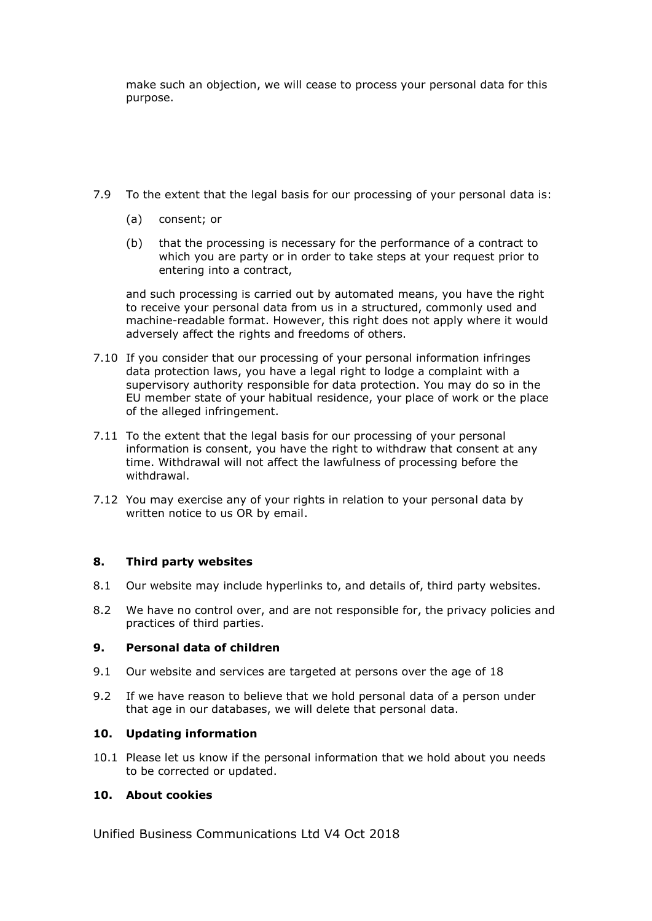make such an objection, we will cease to process your personal data for this purpose.

- 7.9 To the extent that the legal basis for our processing of your personal data is:
	- (a) consent; or
	- (b) that the processing is necessary for the performance of a contract to which you are party or in order to take steps at your request prior to entering into a contract,

and such processing is carried out by automated means, you have the right to receive your personal data from us in a structured, commonly used and machine-readable format. However, this right does not apply where it would adversely affect the rights and freedoms of others.

- 7.10 If you consider that our processing of your personal information infringes data protection laws, you have a legal right to lodge a complaint with a supervisory authority responsible for data protection. You may do so in the EU member state of your habitual residence, your place of work or the place of the alleged infringement.
- 7.11 To the extent that the legal basis for our processing of your personal information is consent, you have the right to withdraw that consent at any time. Withdrawal will not affect the lawfulness of processing before the withdrawal.
- 7.12 You may exercise any of your rights in relation to your personal data by written notice to us OR by email.

# **8. Third party websites**

- 8.1 Our website may include hyperlinks to, and details of, third party websites.
- 8.2 We have no control over, and are not responsible for, the privacy policies and practices of third parties.

#### **9. Personal data of children**

- 9.1 Our website and services are targeted at persons over the age of 18
- 9.2 If we have reason to believe that we hold personal data of a person under that age in our databases, we will delete that personal data.

#### **10. Updating information**

10.1 Please let us know if the personal information that we hold about you needs to be corrected or updated.

# **10. About cookies**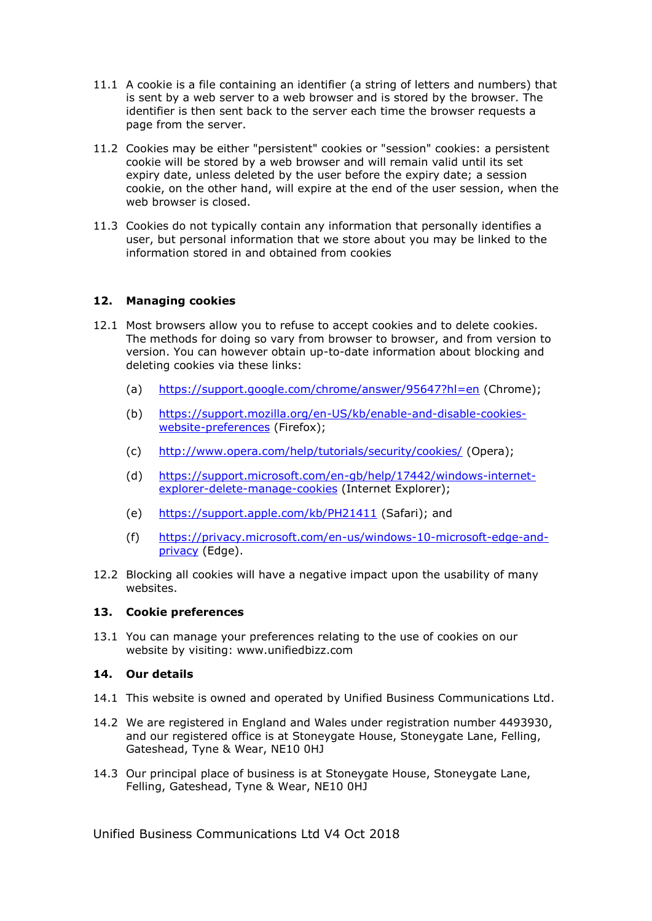- 11.1 A cookie is a file containing an identifier (a string of letters and numbers) that is sent by a web server to a web browser and is stored by the browser. The identifier is then sent back to the server each time the browser requests a page from the server.
- 11.2 Cookies may be either "persistent" cookies or "session" cookies: a persistent cookie will be stored by a web browser and will remain valid until its set expiry date, unless deleted by the user before the expiry date; a session cookie, on the other hand, will expire at the end of the user session, when the web browser is closed.
- 11.3 Cookies do not typically contain any information that personally identifies a user, but personal information that we store about you may be linked to the information stored in and obtained from cookies

# **12. Managing cookies**

- 12.1 Most browsers allow you to refuse to accept cookies and to delete cookies. The methods for doing so vary from browser to browser, and from version to version. You can however obtain up-to-date information about blocking and deleting cookies via these links:
	- (a) <https://support.google.com/chrome/answer/95647?hl=en> (Chrome);
	- (b) [https://support.mozilla.org/en-US/kb/enable-and-disable-cookies](https://support.mozilla.org/en-US/kb/enable-and-disable-cookies-website-preferences)[website-preferences](https://support.mozilla.org/en-US/kb/enable-and-disable-cookies-website-preferences) (Firefox);
	- (c) <http://www.opera.com/help/tutorials/security/cookies/> (Opera);
	- (d) [https://support.microsoft.com/en-gb/help/17442/windows-internet](https://support.microsoft.com/en-gb/help/17442/windows-internet-explorer-delete-manage-cookies)[explorer-delete-manage-cookies](https://support.microsoft.com/en-gb/help/17442/windows-internet-explorer-delete-manage-cookies) (Internet Explorer);
	- (e) <https://support.apple.com/kb/PH21411> (Safari); and
	- (f) [https://privacy.microsoft.com/en-us/windows-10-microsoft-edge-and](https://privacy.microsoft.com/en-us/windows-10-microsoft-edge-and-privacy)[privacy](https://privacy.microsoft.com/en-us/windows-10-microsoft-edge-and-privacy) (Edge).
- 12.2 Blocking all cookies will have a negative impact upon the usability of many websites.

#### **13. Cookie preferences**

13.1 You can manage your preferences relating to the use of cookies on our website by visiting: www.unifiedbizz.com

# **14. Our details**

- 14.1 This website is owned and operated by Unified Business Communications Ltd.
- 14.2 We are registered in England and Wales under registration number 4493930, and our registered office is at Stoneygate House, Stoneygate Lane, Felling, Gateshead, Tyne & Wear, NE10 0HJ
- 14.3 Our principal place of business is at Stoneygate House, Stoneygate Lane, Felling, Gateshead, Tyne & Wear, NE10 0HJ